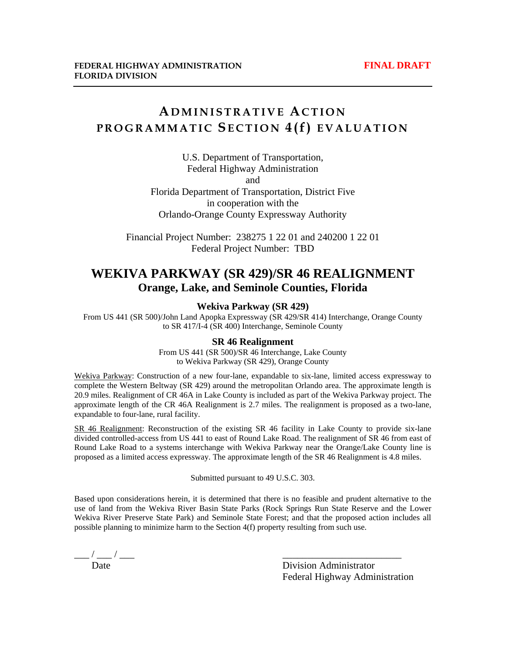## **A DMINISTRATIVE ACTION PROGRAMMATIC SECTION 4(f) EVALUATION**

U.S. Department of Transportation, Federal Highway Administration and Florida Department of Transportation, District Five

in cooperation with the Orlando-Orange County Expressway Authority

Financial Project Number: 238275 1 22 01 and 240200 1 22 01 Federal Project Number: TBD

### **WEKIVA PARKWAY (SR 429)/SR 46 REALIGNMENT Orange, Lake, and Seminole Counties, Florida**

#### **Wekiva Parkway (SR 429)**

From US 441 (SR 500)/John Land Apopka Expressway (SR 429/SR 414) Interchange, Orange County to SR 417/I-4 (SR 400) Interchange, Seminole County

#### **SR 46 Realignment**

From US 441 (SR 500)/SR 46 Interchange, Lake County to Wekiva Parkway (SR 429), Orange County

Wekiva Parkway: Construction of a new four-lane, expandable to six-lane, limited access expressway to complete the Western Beltway (SR 429) around the metropolitan Orlando area. The approximate length is 20.9 miles. Realignment of CR 46A in Lake County is included as part of the Wekiva Parkway project. The approximate length of the CR 46A Realignment is 2.7 miles. The realignment is proposed as a two-lane, expandable to four-lane, rural facility.

SR 46 Realignment: Reconstruction of the existing SR 46 facility in Lake County to provide six-lane divided controlled-access from US 441 to east of Round Lake Road. The realignment of SR 46 from east of Round Lake Road to a systems interchange with Wekiva Parkway near the Orange/Lake County line is proposed as a limited access expressway. The approximate length of the SR 46 Realignment is 4.8 miles.

Submitted pursuant to 49 U.S.C. 303.

Based upon considerations herein, it is determined that there is no feasible and prudent alternative to the use of land from the Wekiva River Basin State Parks (Rock Springs Run State Reserve and the Lower Wekiva River Preserve State Park) and Seminole State Forest; and that the proposed action includes all possible planning to minimize harm to the Section 4(f) property resulting from such use.

 $\frac{1}{\text{Date}}$  / —

Division Administrator Federal Highway Administration